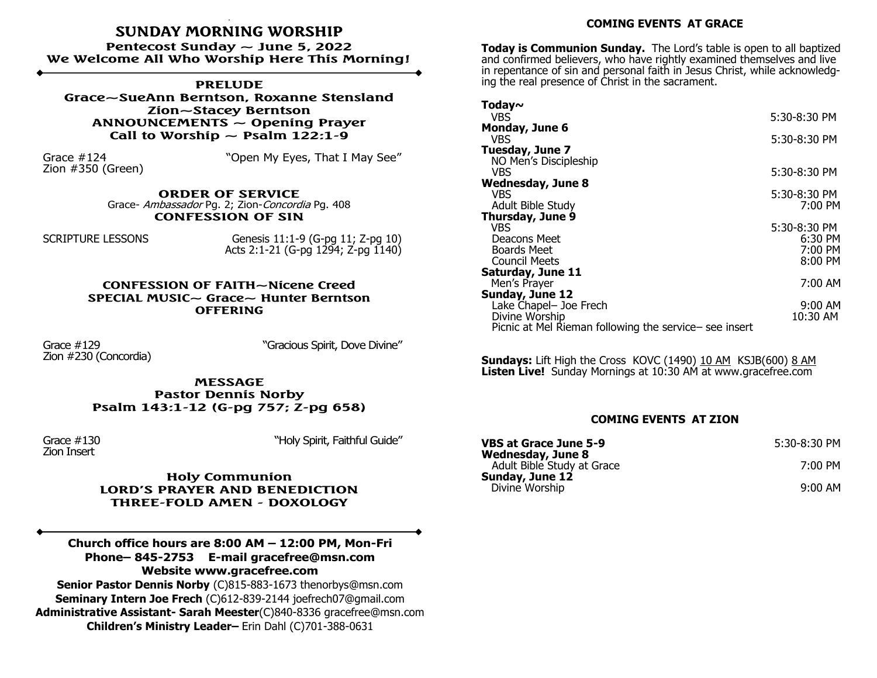## **SUNDAY MORNING WORSHIP**

**Pentecost Sunday ~ June 5, 2022 We Welcome All Who Worship Here This Morning!**

**PRELUDE Grace~SueAnn Berntson, Roxanne Stensland Zion~Stacey Berntson ANNOUNCEMENTS ~ Opening Prayer** Call to Worship  $\sim$  Psalm 122:1-9

Zion #350 (Green)

Grace #124 **The Contract Contract Contract Contract Contract Contract Contract Contract Contract Contract Contr** 

**ORDER OF SERVICE**  Grace- Ambassador Pg. 2; Zion-Concordia Pg. 408 **CONFESSION OF SIN**

SCRIPTURE LESSONS Genesis 11:1-9 (G-pg 11; Z-pg 10) Acts 2:1-21 (G-pg 1294; Z-pg 1140)

> **CONFESSION OF FAITH~Nicene Creed SPECIAL MUSIC~ Grace~ Hunter Berntson OFFERING**

Zion #230 (Concordia)

Grace #129 "Gracious Spirit, Dove Divine"

**MESSAGE Pastor Dennis Norby Psalm 143:1-12 (G-pg 757; Z-pg 658)**

Zion Insert

Grace #130 "Holy Spirit, Faithful Guide"

**Holy Communion LORD'S PRAYER AND BENEDICTION THREE-FOLD AMEN - DOXOLOGY**

**Church office hours are 8:00 AM – 12:00 PM, Mon-Fri Phone– 845-2753 E-mail gracefree@msn.com Website www.gracefree.com**

**Senior Pastor Dennis Norby** (C)815-883-1673 thenorbys@msn.com **Seminary Intern Joe Frech** (C)612-839-2144 joefrech07@gmail.com **Administrative Assistant- Sarah Meester**(C)840-8336 gracefree@msn.com **Children's Ministry Leader–** Erin Dahl (C)701-388-0631

## **COMING EVENTS AT GRACE**

**Today is Communion Sunday.** The Lord's table is open to all baptized and confirmed believers, who have rightly examined themselves and live in repentance of sin and personal faith in Jesus Christ, while acknowledging the real presence of Christ in the sacrament.

| Today $\sim$                                           |                                     |
|--------------------------------------------------------|-------------------------------------|
| VBS.                                                   | 5:30-8:30 PM                        |
| Monday, June 6                                         |                                     |
| VBS                                                    | 5:30-8:30 PM                        |
| Tuesday, June 7                                        |                                     |
| NO Men's Discipleship                                  |                                     |
| VBS                                                    | 5:30-8:30 PM                        |
| <b>Wednesday, June 8</b>                               |                                     |
| <b>VBS</b>                                             | 5:30-8:30 PM<br>$7:00 \, \text{PM}$ |
| Adult Bible Study<br>Thursday, June 9                  |                                     |
| VBS                                                    | 5:30-8:30 PM                        |
| Deacons Meet                                           | 6:30 PM                             |
| <b>Boards Meet</b>                                     | 7:00 PM                             |
| <b>Council Meets</b>                                   | 8:00 PM                             |
| Saturday, June 11                                      |                                     |
| Men's Prayer                                           | 7:00 AM                             |
| Sunday, June 12                                        |                                     |
| Lake Chapel- Joe Frech                                 | $9:00$ AM                           |
| Divine Worship                                         | 10:30 AM                            |
| Picnic at Mel Rieman following the service- see insert |                                     |

**Sundays:** Lift High the Cross KOVC (1490) 10 AM KSJB(600) 8 AM Listen Live! Sunday Mornings at 10:30 AM at www.gracefree.com

## **COMING EVENTS AT ZION**

| <b>VBS at Grace June 5-9</b><br><b>Wednesday, June 8</b> | 5:30-8:30 PM |
|----------------------------------------------------------|--------------|
| Adult Bible Study at Grace                               | 7:00 PM      |
| Sunday, June 12<br>Divine Worship                        | $9:00$ AM    |